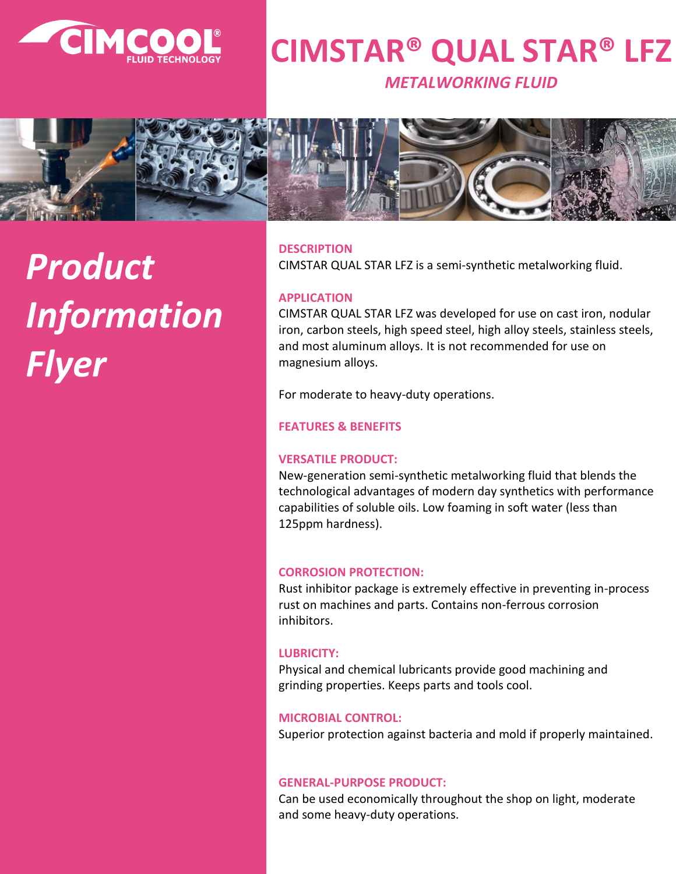

### **CIMSTAR® QUAL STAR® LFZ**

*METALWORKING FLUID*



# *Product Information Flyer*

#### **DESCRIPTION**

CIMSTAR QUAL STAR LFZ is a semi-synthetic metalworking fluid.

#### **APPLICATION**

CIMSTAR QUAL STAR LFZ was developed for use on cast iron, nodular iron, carbon steels, high speed steel, high alloy steels, stainless steels, and most aluminum alloys. It is not recommended for use on magnesium alloys.

For moderate to heavy-duty operations.

#### **FEATURES & BENEFITS**

#### **VERSATILE PRODUCT:**

New-generation semi-synthetic metalworking fluid that blends the technological advantages of modern day synthetics with performance capabilities of soluble oils. Low foaming in soft water (less than 125ppm hardness).

#### **CORROSION PROTECTION:**

Rust inhibitor package is extremely effective in preventing in-process rust on machines and parts. Contains non-ferrous corrosion inhibitors.

#### **LUBRICITY:**

Physical and chemical lubricants provide good machining and grinding properties. Keeps parts and tools cool.

#### **MICROBIAL CONTROL:**

Superior protection against bacteria and mold if properly maintained.

#### **GENERAL-PURPOSE PRODUCT:**

Can be used economically throughout the shop on light, moderate and some heavy-duty operations.